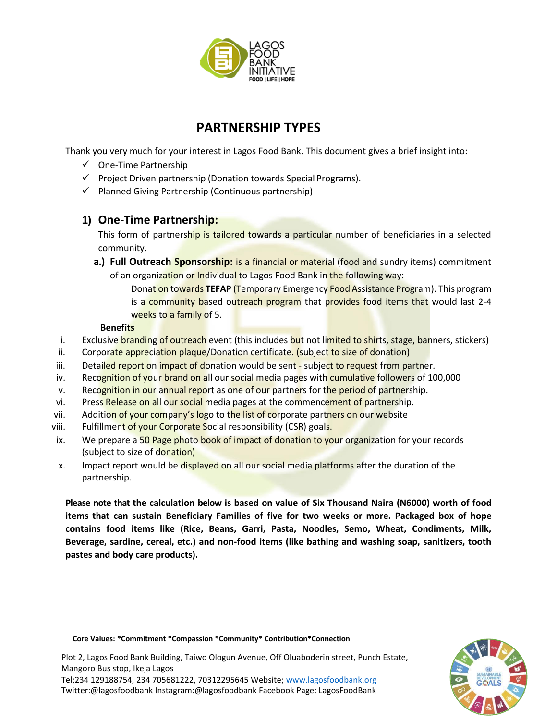

# **PARTNERSHIP TYPES**

Thank you very much for your interest in Lagos Food Bank. This document gives a brief insight into:

- $\checkmark$  One-Time Partnership
- $\checkmark$  Project Driven partnership (Donation towards Special Programs).
- $\checkmark$  Planned Giving Partnership (Continuous partnership)

## **1) One-Time Partnership:**

This form of partnership is tailored towards a particular number of beneficiaries in a selected community.

- **a.) Full Outreach Sponsorship:** is a financial or material (food and sundry items) commitment of an organization or Individual to Lagos Food Bank in the following way:
	- Donation towards **TEFAP** (Temporary Emergency Food Assistance Program). This program is a community based outreach program that provides food items that would last 2-4 weeks to a family of 5.

### **Benefits**

- i. Exclusive branding of outreach event (this includes but not limited to shirts, stage, banners, stickers)
- ii. Corporate appreciation plaque/Donation certificate. (subject to size of donation)
- iii. Detailed report on impact of donation would be sent subject to request from partner.
- iv. Recognition of your brand on all our social media pages with cumulative followers of 100,000
- v. Recognition in our annual report as one of our partners for the period of partnership.
- vi. Press Release on all our social media pages at the commencement of partnership.
- vii. Addition of your company's logo to the list of corporate partners on our website
- viii. Fulfillment of your Corporate Social responsibility (CSR) goals.
- ix. We prepare a 50 Page photo book of impact of donation to your organization for your records (subject to size of donation)
- x. Impact report would be displayed on all our social media platforms after the duration of the partnership.

**Please note that the calculation below is based on value of Six Thousand Naira (N6000) worth of food items that can sustain Beneficiary Families of five for two weeks or more. Packaged box of hope contains food items like (Rice, Beans, Garri, Pasta, Noodles, Semo, Wheat, Condiments, Milk, Beverage, sardine, cereal, etc.) and non-food items (like bathing and washing soap, sanitizers, tooth pastes and body care products).**

**Core Values: \*Commitment \*Compassion \*Community\* Contribution\*Connection**



Plot 2, Lagos Food Bank Building, Taiwo Ologun Avenue, Off Oluaboderin street, Punch Estate, Mangoro Bus stop, Ikeja Lagos

Tel;234 129188754, 234 705681222, 70312295645 Website[; www.lagosfoodbank.org](http://www.lagosfoodbank.org/) Twitter:@lagosfoodbank Instagram:@lagosfoodbank Facebook Page: LagosFoodBank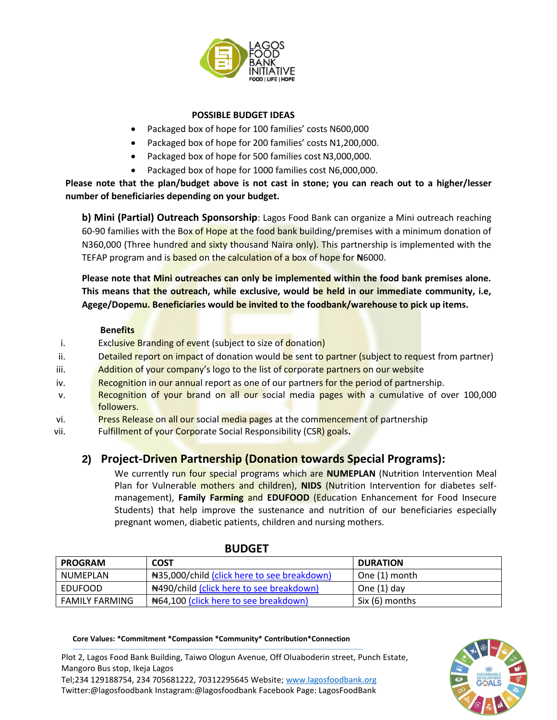

### **POSSIBLE BUDGET IDEAS**

- Packaged box of hope for 100 families' costs N600,000
- Packaged box of hope for 200 families' costs N1,200,000.
- Packaged box of hope for 500 families cost N3,000,000.
- Packaged box of hope for 1000 families cost N6,000,000.

**Please note that the plan/budget above is not cast in stone; you can reach out to a higher/lesser number of beneficiaries depending on your budget.**

**b) Mini (Partial) Outreach Sponsorship**: Lagos Food Bank can organize a Mini outreach reaching 60-90 families with the Box of Hope at the food bank building/premises with a minimum donation of N360,000 (Three hundred and sixty thousand Naira only). This partnership is implemented with the TEFAP program and is based on the calculation of a box of hope for **N**6000.

**Please note that Mini outreaches can only be implemented within the food bank premises alone. This means that the outreach, while exclusive, would be held in our immediate community, i.e, Agege/Dopemu. Beneficiaries would be invited to the foodbank/warehouse to pick up items.** 

#### **Benefits**

- i. Exclusive Branding of event (subject to size of donation)
- ii. Detailed report on impact of donation would be sent to partner (subject to request from partner)
- iii. Addition of your company's logo to the list of corporate partners on our website
- iv. Recognition in our annual report as one of our partners for the period of partnership.
- v. Recognition of your brand on all our social media pages with a cumulative of over 100,000 followers.
- vi. Press Release on all our social media pages at the commencement of partnership
- vii. Fulfillment of your Corporate Social Responsibility (CSR) goals**.**

# **2) Project-Driven Partnership (Donation towards Special Programs):**

We currently run four special programs which are **NUMEPLAN** (Nutrition Intervention Meal Plan for Vulnerable mothers and children), **NIDS** (Nutrition Intervention for diabetes selfmanagement), **Family Farming** and **EDUFOOD** (Education Enhancement for Food Insecure Students) that help improve the sustenance and nutrition of our beneficiaries especially pregnant women, diabetic patients, children and nursing mothers.

| <b>PROGRAM</b> | <b>COST</b>                                    | <b>DURATION</b> |
|----------------|------------------------------------------------|-----------------|
| NUMEPLAN       | Net 35,000/child (click here to see breakdown) | One (1) month   |
| EDUFOOD        | #490/child (click here to see breakdown)       | One $(1)$ day   |
| FAMILY FARMING | N64,100 (click here to see breakdown)          | Six (6) months  |

### **BUDGET**

**Core Values: \*Commitment \*Compassion \*Community\* Contribution\*Connection**

Plot 2, Lagos Food Bank Building, Taiwo Ologun Avenue, Off Oluaboderin street, Punch Estate, Mangoro Bus stop, Ikeja Lagos

Tel;234 129188754, 234 705681222, 70312295645 Website[; www.lagosfoodbank.org](http://www.lagosfoodbank.org/) Twitter:@lagosfoodbank Instagram:@lagosfoodbank Facebook Page: LagosFoodBank